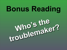# **Bonus Reading**

# **Who's the**  troublemaker?